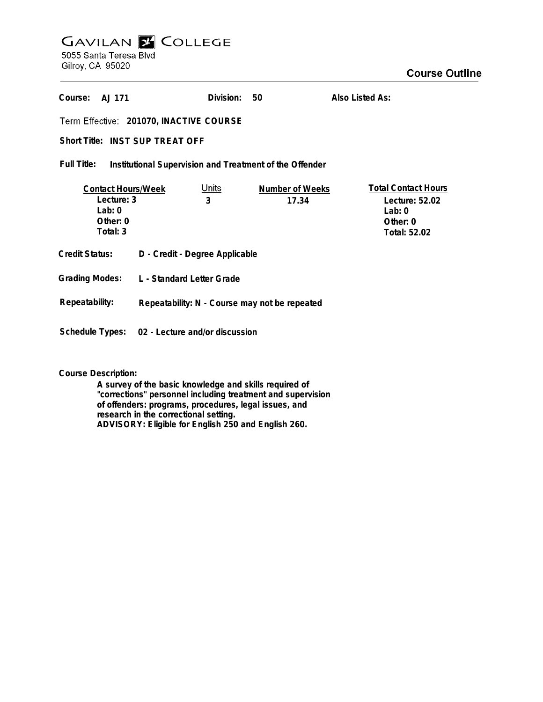# **GAVILAN Z COLLEGE** 5055 Santa Teresa Blvd Gilroy, CA 95020

| Course: A.I 171 |                                         | Division: 50 | Also Listed As: |
|-----------------|-----------------------------------------|--------------|-----------------|
|                 | Term Effective: 201070, INACTIVE COURSE |              |                 |
|                 | Short Title: INST SUP TREAT OFF         |              |                 |

**Institutional Supervision and Treatment of the Offender Full Title:**

| <b>Contact Hours/Week</b>        |                                                             | Units | Number of Weeks                               | <b>Total Contact Hours</b> |  |  |
|----------------------------------|-------------------------------------------------------------|-------|-----------------------------------------------|----------------------------|--|--|
| Lecture: 3                       |                                                             | 3     | 17.34                                         | Lecture: 52.02             |  |  |
| Lab: $0$                         |                                                             |       |                                               | Lab: $0$                   |  |  |
| Other: 0                         |                                                             |       |                                               | Other: 0                   |  |  |
| Total: 3                         |                                                             |       |                                               | Total: 52.02               |  |  |
| Credit Status:<br>Grading Modes: | D - Credit - Degree Applicable<br>L - Standard Letter Grade |       |                                               |                            |  |  |
| Repeatability:                   |                                                             |       | Repeatability: N - Course may not be repeated |                            |  |  |
| Schedule Types:                  | 02 - Lecture and/or discussion                              |       |                                               |                            |  |  |

**Course Description:**

**A survey of the basic knowledge and skills required of "corrections" personnel including treatment and supervision of offenders: programs, procedures, legal issues, and research in the correctional setting. ADVISORY: Eligible for English 250 and English 260.**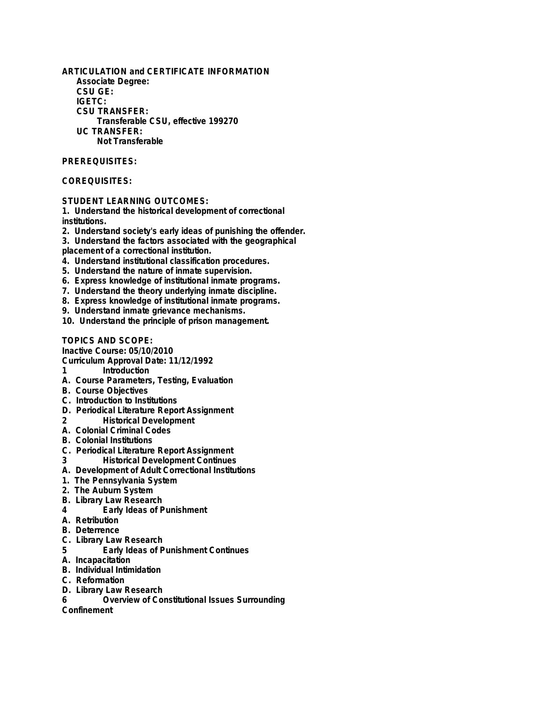**ARTICULATION and CERTIFICATE INFORMATION Associate Degree: CSU GE: IGETC: CSU TRANSFER: Transferable CSU, effective 199270 UC TRANSFER: Not Transferable**

### **PREREQUISITES:**

### **COREQUISITES:**

**STUDENT LEARNING OUTCOMES:**

**1. Understand the historical development of correctional institutions.**

**2. Understand society's early ideas of punishing the offender.**

**3. Understand the factors associated with the geographical**

**placement of a correctional institution.**

- **4. Understand institutional classification procedures.**
- **5. Understand the nature of inmate supervision.**
- **6. Express knowledge of institutional inmate programs.**
- **7. Understand the theory underlying inmate discipline.**
- **8. Express knowledge of institutional inmate programs.**
- **9. Understand inmate grievance mechanisms.**
- **10. Understand the principle of prison management.**

**TOPICS AND SCOPE:**

**Inactive Course: 05/10/2010**

**Curriculum Approval Date: 11/12/1992**

- **1 Introduction**
- **A. Course Parameters, Testing, Evaluation**
- **B. Course Objectives**
- **C. Introduction to Institutions**
- **D. Periodical Literature Report Assignment**
- **2 Historical Development**
- **A. Colonial Criminal Codes**
- **B. Colonial Institutions**
- **C. Periodical Literature Report Assignment**
- **3 Historical Development Continues**
- **A. Development of Adult Correctional Institutions**
- **1. The Pennsylvania System**
- **2. The Auburn System**
- **B. Library Law Research**
- **4 Early Ideas of Punishment**
- **A. Retribution**
- **B. Deterrence**
- **C. Library Law Research**
- **5 Early Ideas of Punishment Continues**
- **A. Incapacitation**
- **B. Individual Intimidation**
- **C. Reformation**
- **D. Library Law Research**
	- **6 Overview of Constitutional Issues Surrounding**

**Confinement**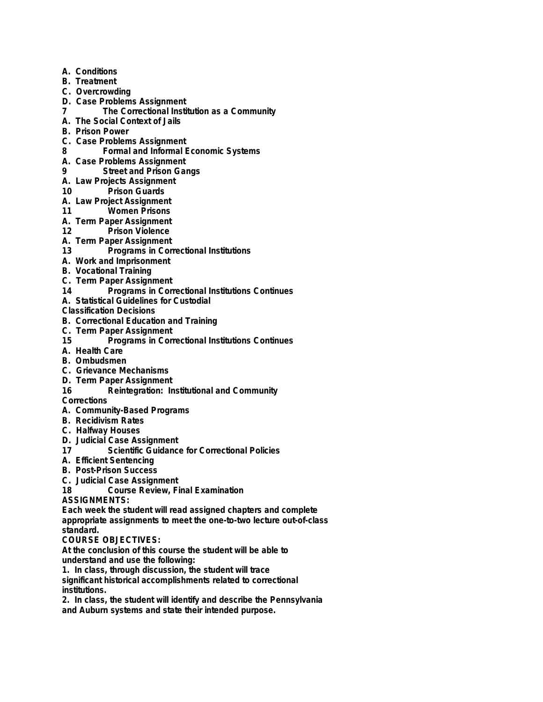- **A. Conditions**
- **B. Treatment**
- **C. Overcrowding**
- **D. Case Problems Assignment**
- **7 The Correctional Institution as a Community**
- **A. The Social Context of Jails**
- **B. Prison Power**
- **C. Case Problems Assignment**
- **8 Formal and Informal Economic Systems**
- **A. Case Problems Assignment**
- **9 Street and Prison Gangs**
- **A. Law Projects Assignment**
- **10 Prison Guards**
- **A. Law Project Assignment**
- **11 Women Prisons**
- **A. Term Paper Assignment**
- **12 Prison Violence**
- **A. Term Paper Assignment**
- **13 Programs in Correctional Institutions**
- **A. Work and Imprisonment**
- **B. Vocational Training**
- **C. Term Paper Assignment**
- **14 Programs in Correctional Institutions Continues**
- **A. Statistical Guidelines for Custodial**

**Classification Decisions**

- **B. Correctional Education and Training**
- **C. Term Paper Assignment**
- **15 Programs in Correctional Institutions Continues**
- **A. Health Care**
- **B. Ombudsmen**
- **C. Grievance Mechanisms**
- **D. Term Paper Assignment**
- **16 Reintegration: Institutional and Community**
- **Corrections**
- **A. Community-Based Programs**
- **B. Recidivism Rates**
- **C. Halfway Houses**
- **D. Judicial Case Assignment**
- **17 Scientific Guidance for Correctional Policies**
- **A. Efficient Sentencing**
- **B. Post-Prison Success**
- **C. Judicial Case Assignment**
- **18 Course Review, Final Examination**

**ASSIGNMENTS:**

**Each week the student will read assigned chapters and complete appropriate assignments to meet the one-to-two lecture out-of-class standard.**

## **COURSE OBJECTIVES:**

**At the conclusion of this course the student will be able to understand and use the following:**

**1. In class, through discussion, the student will trace significant historical accomplishments related to correctional institutions.**

**2. In class, the student will identify and describe the Pennsylvania and Auburn systems and state their intended purpose.**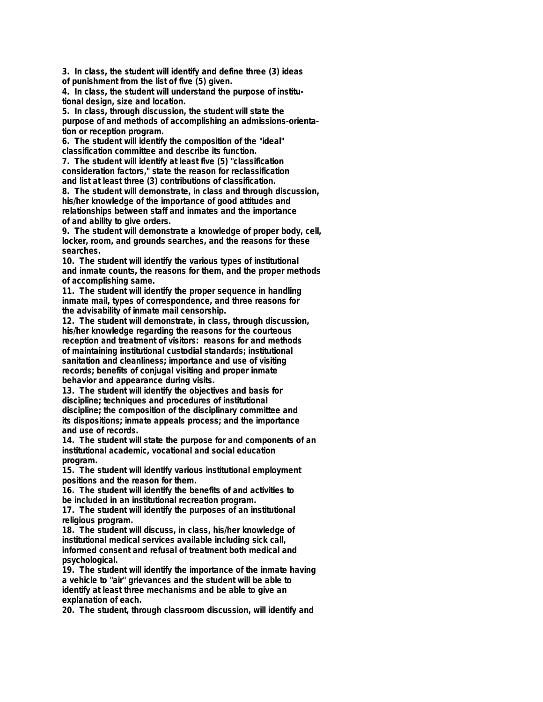**3. In class, the student will identify and define three (3) ideas of punishment from the list of five (5) given.**

**4. In class, the student will understand the purpose of institutional design, size and location.**

**5. In class, through discussion, the student will state the purpose of and methods of accomplishing an admissions-orientation or reception program.**

**6. The student will identify the composition of the "ideal" classification committee and describe its function.**

**7. The student will identify at least five (5) "classification consideration factors," state the reason for reclassification and list at least three (3) contributions of classification.**

**8. The student will demonstrate, in class and through discussion, his/her knowledge of the importance of good attitudes and relationships between staff and inmates and the importance of and ability to give orders.**

**9. The student will demonstrate a knowledge of proper body, cell, locker, room, and grounds searches, and the reasons for these searches.**

**10. The student will identify the various types of institutional and inmate counts, the reasons for them, and the proper methods of accomplishing same.**

**11. The student will identify the proper sequence in handling inmate mail, types of correspondence, and three reasons for the advisability of inmate mail censorship.**

**12. The student will demonstrate, in class, through discussion, his/her knowledge regarding the reasons for the courteous reception and treatment of visitors: reasons for and methods of maintaining institutional custodial standards; institutional sanitation and cleanliness; importance and use of visiting records; benefits of conjugal visiting and proper inmate behavior and appearance during visits.**

**13. The student will identify the objectives and basis for discipline; techniques and procedures of institutional discipline; the composition of the disciplinary committee and its dispositions; inmate appeals process; and the importance and use of records.**

**14. The student will state the purpose for and components of an institutional academic, vocational and social education program.**

**15. The student will identify various institutional employment positions and the reason for them.**

**16. The student will identify the benefits of and activities to be included in an institutional recreation program.**

**17. The student will identify the purposes of an institutional religious program.**

**18. The student will discuss, in class, his/her knowledge of institutional medical services available including sick call, informed consent and refusal of treatment both medical and psychological.**

**19. The student will identify the importance of the inmate having a vehicle to "air" grievances and the student will be able to identify at least three mechanisms and be able to give an explanation of each.**

**20. The student, through classroom discussion, will identify and**